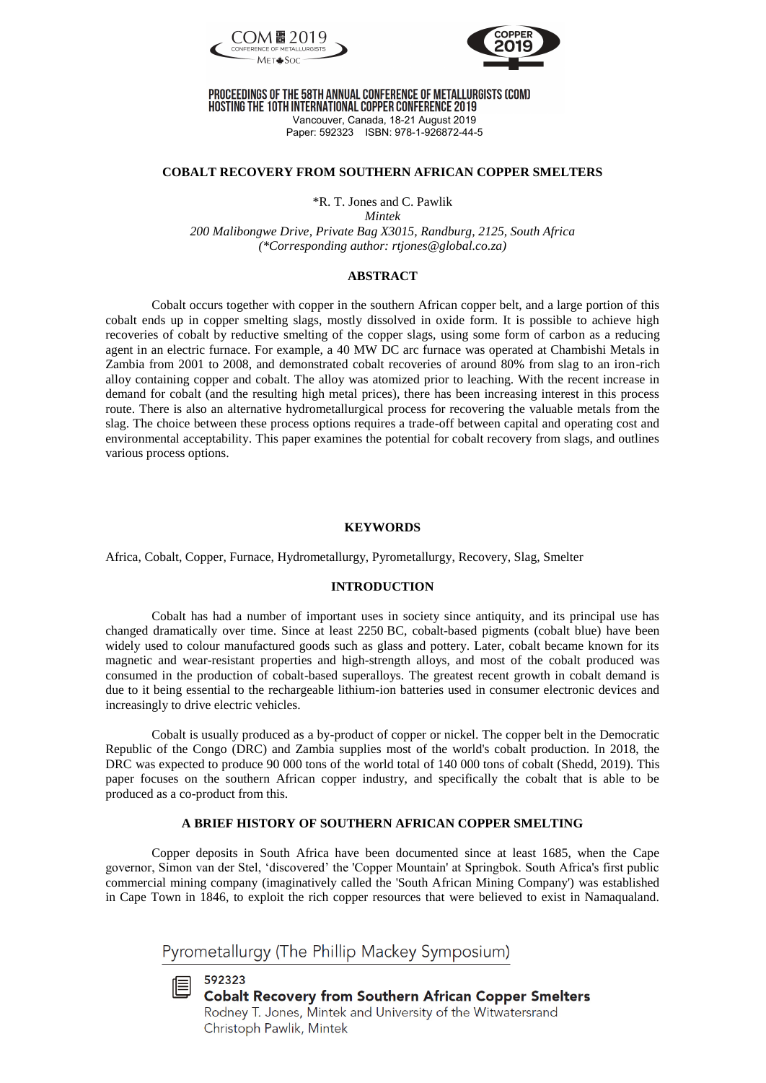



# PROCEEDINGS OF THE 58TH ANNUAL CONFERENCE OF METALLURGISTS (COM)

HOSTING THE 10TH INTERNATIONAL COPPER CONFERENCE 2019 Vancouver, Canada, 18-21 August 2019 Paper: 592323 ISBN: 978-1-926872-44-5

### **COBALT RECOVERY FROM SOUTHERN AFRICAN COPPER SMELTERS**

\*R. T. Jones and C. Pawlik

*Mintek 200 Malibongwe Drive, Private Bag X3015, Randburg, 2125, South Africa (\*Corresponding author: rtjones@global.co.za)* 

# **ABSTRACT**

Cobalt occurs together with copper in the southern African copper belt, and a large portion of this cobalt ends up in copper smelting slags, mostly dissolved in oxide form. It is possible to achieve high recoveries of cobalt by reductive smelting of the copper slags, using some form of carbon as a reducing agent in an electric furnace. For example, a 40 MW DC arc furnace was operated at Chambishi Metals in Zambia from 2001 to 2008, and demonstrated cobalt recoveries of around 80% from slag to an iron-rich alloy containing copper and cobalt. The alloy was atomized prior to leaching. With the recent increase in demand for cobalt (and the resulting high metal prices), there has been increasing interest in this process route. There is also an alternative hydrometallurgical process for recovering the valuable metals from the slag. The choice between these process options requires a trade-off between capital and operating cost and environmental acceptability. This paper examines the potential for cobalt recovery from slags, and outlines various process options.

## **KEYWORDS**

Africa, Cobalt, Copper, Furnace, Hydrometallurgy, Pyrometallurgy, Recovery, Slag, Smelter

### **INTRODUCTION**

Cobalt has had a number of important uses in society since antiquity, and its principal use has changed dramatically over time. Since at least 2250 BC, cobalt-based pigments (cobalt blue) have been widely used to colour manufactured goods such as glass and pottery. Later, cobalt became known for its magnetic and wear-resistant properties and high-strength alloys, and most of the cobalt produced was consumed in the production of cobalt-based superalloys. The greatest recent growth in cobalt demand is due to it being essential to the rechargeable lithium-ion batteries used in consumer electronic devices and increasingly to drive electric vehicles.

Cobalt is usually produced as a by-product of copper or nickel. The copper belt in the Democratic Republic of the Congo (DRC) and Zambia supplies most of the world's cobalt production. In 2018, the DRC was expected to produce 90 000 tons of the world total of 140 000 tons of cobalt (Shedd, 2019). This paper focuses on the southern African copper industry, and specifically the cobalt that is able to be produced as a co-product from this.

# **A BRIEF HISTORY OF SOUTHERN AFRICAN COPPER SMELTING**

Copper deposits in South Africa have been documented since at least 1685, when the Cape governor, Simon van der Stel, 'discovered' the 'Copper Mountain' at Springbok. South Africa's first public commercial mining company (imaginatively called the 'South African Mining Company') was established in Cape Town in 1846, to exploit the rich copper resources that were believed to exist in Namaqualand.

Pyrometallurgy (The Phillip Mackey Symposium)



**Cobalt Recovery from Southern African Copper Smelters** Rodney T. Jones, Mintek and University of the Witwatersrand Christoph Pawlik, Mintek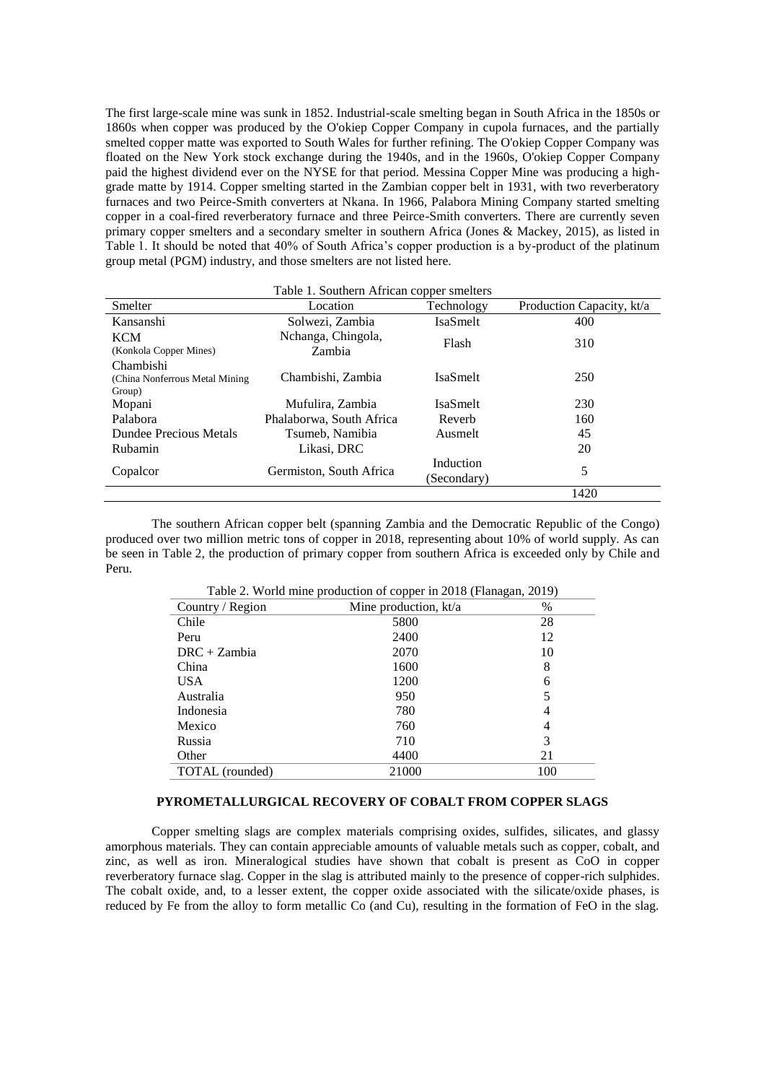The first large-scale mine was sunk in 1852. Industrial-scale smelting began in South Africa in the 1850s or 1860s when copper was produced by the O'okiep Copper Company in cupola furnaces, and the partially smelted copper matte was exported to South Wales for further refining. The O'okiep Copper Company was floated on the New York stock exchange during the 1940s, and in the 1960s, O'okiep Copper Company paid the highest dividend ever on the NYSE for that period. Messina Copper Mine was producing a highgrade matte by 1914. Copper smelting started in the Zambian copper belt in 1931, with two reverberatory furnaces and two Peirce-Smith converters at Nkana. In 1966, Palabora Mining Company started smelting copper in a coal-fired reverberatory furnace and three Peirce-Smith converters. There are currently seven primary copper smelters and a secondary smelter in southern Africa (Jones & Mackey, 2015), as listed in Table 1. It should be noted that 40% of South Africa's copper production is a by-product of the platinum group metal (PGM) industry, and those smelters are not listed here.

| Table 1. Southern African copper smelters              |                              |                          |                           |  |  |  |  |  |  |
|--------------------------------------------------------|------------------------------|--------------------------|---------------------------|--|--|--|--|--|--|
| Smelter                                                | Location                     | Technology               | Production Capacity, kt/a |  |  |  |  |  |  |
| Kansanshi                                              | Solwezi, Zambia              | IsaSmelt                 | 400                       |  |  |  |  |  |  |
| <b>KCM</b><br>(Konkola Copper Mines)                   | Nchanga, Chingola,<br>Zambia | Flash                    | 310                       |  |  |  |  |  |  |
| Chambishi<br>(China Nonferrous Metal Mining)<br>Group) | Chambishi, Zambia            | <b>IsaSmelt</b>          | 250                       |  |  |  |  |  |  |
| Mopani                                                 | Mufulira, Zambia             | <b>IsaSmelt</b>          | 230                       |  |  |  |  |  |  |
| Palabora                                               | Phalaborwa, South Africa     | Reverb                   | 160                       |  |  |  |  |  |  |
| Dundee Precious Metals                                 | Tsumeb, Namibia              | Ausmelt                  | 45                        |  |  |  |  |  |  |
| Rubamin                                                | Likasi, DRC                  |                          | 20                        |  |  |  |  |  |  |
| Copalcor                                               | Germiston, South Africa      | Induction<br>(Secondary) | 5                         |  |  |  |  |  |  |
|                                                        |                              |                          | 1420                      |  |  |  |  |  |  |

The southern African copper belt (spanning Zambia and the Democratic Republic of the Congo) produced over two million metric tons of copper in 2018, representing about 10% of world supply. As can be seen in Table 2, the production of primary copper from southern Africa is exceeded only by Chile and Peru.

| Table 2. World mine production of copper in 2018 (Flanagan, 2019) |                       |      |  |  |  |  |  |
|-------------------------------------------------------------------|-----------------------|------|--|--|--|--|--|
| Country / Region                                                  | Mine production, kt/a | $\%$ |  |  |  |  |  |
| Chile                                                             | 5800                  | 28   |  |  |  |  |  |
| Peru                                                              | 2400                  | 12   |  |  |  |  |  |
| $DRC + Zambia$                                                    | 2070                  | 10   |  |  |  |  |  |
| China                                                             | 1600                  | 8    |  |  |  |  |  |
| <b>USA</b>                                                        | 1200                  | 6    |  |  |  |  |  |
| Australia                                                         | 950                   | 5    |  |  |  |  |  |
| Indonesia                                                         | 780                   | 4    |  |  |  |  |  |
| Mexico                                                            | 760                   | 4    |  |  |  |  |  |
| Russia                                                            | 710                   | 3    |  |  |  |  |  |
| Other                                                             | 4400                  | 21   |  |  |  |  |  |
| TOTAL (rounded)                                                   | 21000                 | 100  |  |  |  |  |  |

# **PYROMETALLURGICAL RECOVERY OF COBALT FROM COPPER SLAGS**

Copper smelting slags are complex materials comprising oxides, sulfides, silicates, and glassy amorphous materials. They can contain appreciable amounts of valuable metals such as copper, cobalt, and zinc, as well as iron. Mineralogical studies have shown that cobalt is present as CoO in copper reverberatory furnace slag. Copper in the slag is attributed mainly to the presence of copper-rich sulphides. The cobalt oxide, and, to a lesser extent, the copper oxide associated with the silicate/oxide phases, is reduced by Fe from the alloy to form metallic Co (and Cu), resulting in the formation of FeO in the slag.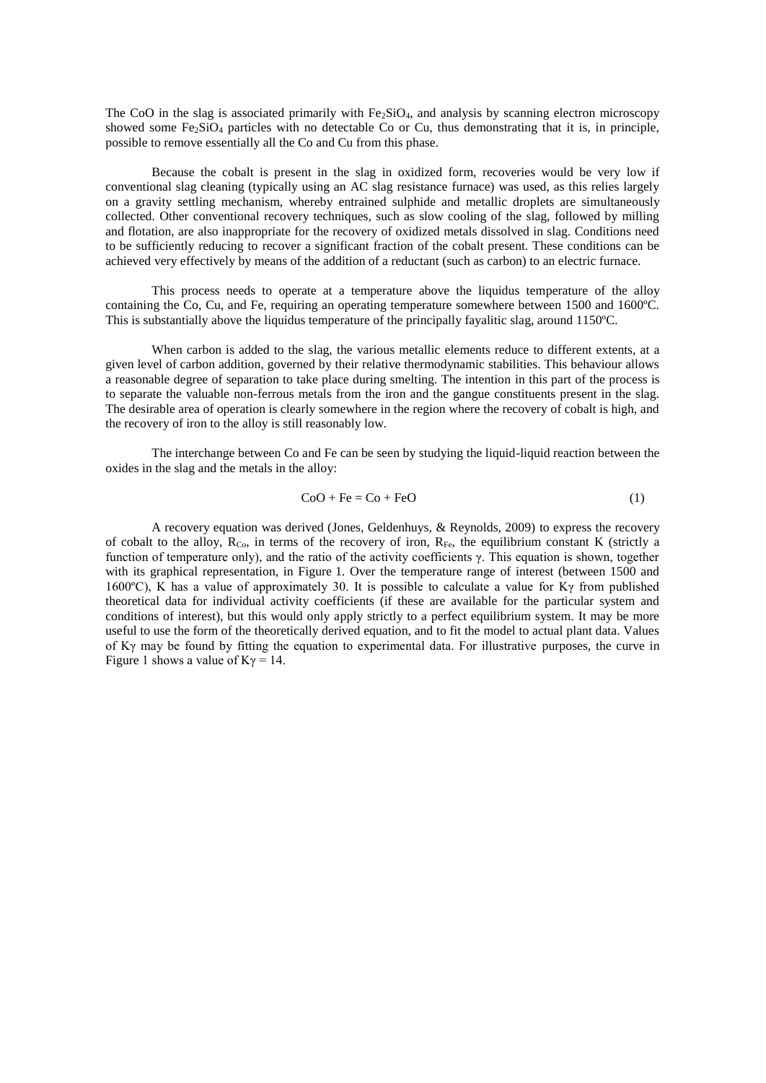The CoO in the slag is associated primarily with Fe<sub>2</sub>SiO<sub>4</sub>, and analysis by scanning electron microscopy showed some Fe2SiO4 particles with no detectable Co or Cu, thus demonstrating that it is, in principle, possible to remove essentially all the Co and Cu from this phase.

Because the cobalt is present in the slag in oxidized form, recoveries would be very low if conventional slag cleaning (typically using an AC slag resistance furnace) was used, as this relies largely on a gravity settling mechanism, whereby entrained sulphide and metallic droplets are simultaneously collected. Other conventional recovery techniques, such as slow cooling of the slag, followed by milling and flotation, are also inappropriate for the recovery of oxidized metals dissolved in slag. Conditions need to be sufficiently reducing to recover a significant fraction of the cobalt present. These conditions can be achieved very effectively by means of the addition of a reductant (such as carbon) to an electric furnace.

This process needs to operate at a temperature above the liquidus temperature of the alloy containing the Co, Cu, and Fe, requiring an operating temperature somewhere between 1500 and 1600ºC. This is substantially above the liquidus temperature of the principally favalitic slag, around 1150°C.

When carbon is added to the slag, the various metallic elements reduce to different extents, at a given level of carbon addition, governed by their relative thermodynamic stabilities. This behaviour allows a reasonable degree of separation to take place during smelting. The intention in this part of the process is to separate the valuable non-ferrous metals from the iron and the gangue constituents present in the slag. The desirable area of operation is clearly somewhere in the region where the recovery of cobalt is high, and the recovery of iron to the alloy is still reasonably low.

The interchange between Co and Fe can be seen by studying the liquid-liquid reaction between the oxides in the slag and the metals in the alloy:

$$
CoO + Fe = Co + FeO \tag{1}
$$

A recovery equation was derived (Jones, Geldenhuys, & Reynolds, 2009) to express the recovery of cobalt to the alloy,  $R_{Co}$ , in terms of the recovery of iron,  $R_{Fe}$ , the equilibrium constant K (strictly a function of temperature only), and the ratio of the activity coefficients γ. This equation is shown, together with its graphical representation, in Figure 1. Over the temperature range of interest (between 1500 and 1600ºC), K has a value of approximately 30. It is possible to calculate a value for Kγ from published theoretical data for individual activity coefficients (if these are available for the particular system and conditions of interest), but this would only apply strictly to a perfect equilibrium system. It may be more useful to use the form of the theoretically derived equation, and to fit the model to actual plant data. Values of Kγ may be found by fitting the equation to experimental data. For illustrative purposes, the curve in Figure 1 shows a value of  $K\gamma = 14$ .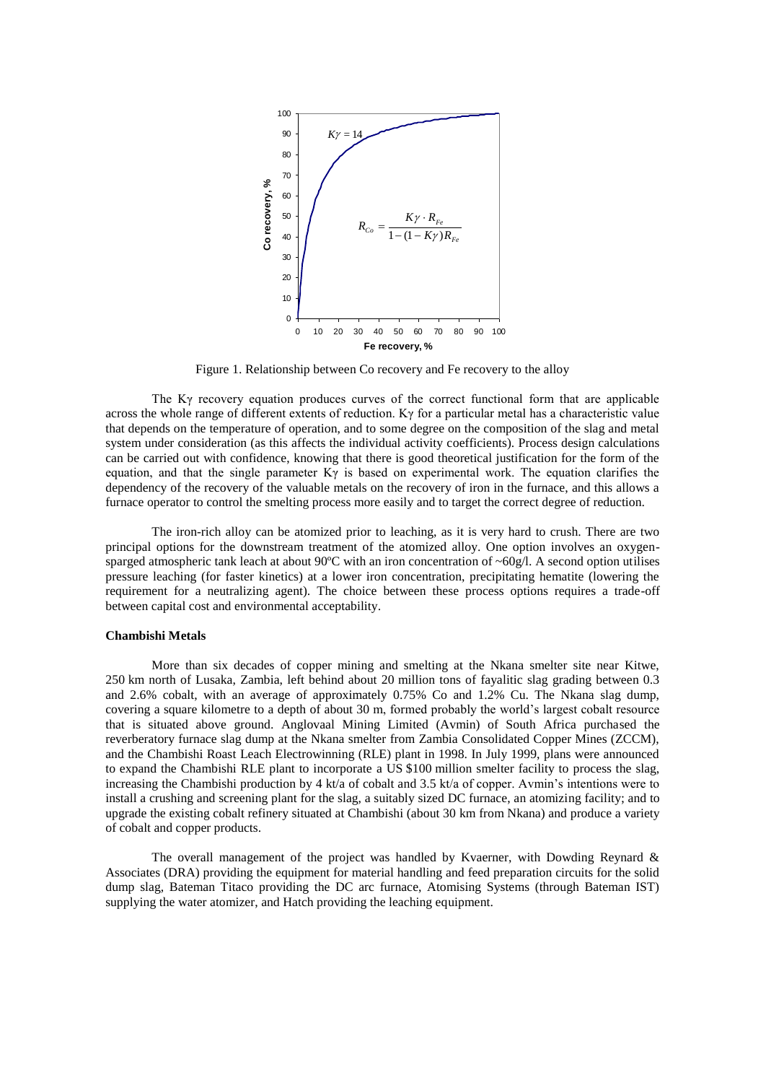

Figure 1. Relationship between Co recovery and Fe recovery to the alloy

The Kγ recovery equation produces curves of the correct functional form that are applicable across the whole range of different extents of reduction. Kγ for a particular metal has a characteristic value that depends on the temperature of operation, and to some degree on the composition of the slag and metal system under consideration (as this affects the individual activity coefficients). Process design calculations can be carried out with confidence, knowing that there is good theoretical justification for the form of the equation, and that the single parameter  $K\gamma$  is based on experimental work. The equation clarifies the dependency of the recovery of the valuable metals on the recovery of iron in the furnace, and this allows a furnace operator to control the smelting process more easily and to target the correct degree of reduction.

The iron-rich alloy can be atomized prior to leaching, as it is very hard to crush. There are two principal options for the downstream treatment of the atomized alloy. One option involves an oxygensparged atmospheric tank leach at about 90 $^{\circ}$ C with an iron concentration of  $\sim 60g/l$ . A second option utilises pressure leaching (for faster kinetics) at a lower iron concentration, precipitating hematite (lowering the requirement for a neutralizing agent). The choice between these process options requires a trade-off between capital cost and environmental acceptability.

#### **Chambishi Metals**

More than six decades of copper mining and smelting at the Nkana smelter site near Kitwe, 250 km north of Lusaka, Zambia, left behind about 20 million tons of fayalitic slag grading between 0.3 and 2.6% cobalt, with an average of approximately 0.75% Co and 1.2% Cu. The Nkana slag dump, covering a square kilometre to a depth of about 30 m, formed probably the world's largest cobalt resource that is situated above ground. Anglovaal Mining Limited (Avmin) of South Africa purchased the reverberatory furnace slag dump at the Nkana smelter from Zambia Consolidated Copper Mines (ZCCM), and the Chambishi Roast Leach Electrowinning (RLE) plant in 1998. In July 1999, plans were announced to expand the Chambishi RLE plant to incorporate a US \$100 million smelter facility to process the slag, increasing the Chambishi production by 4 kt/a of cobalt and 3.5 kt/a of copper. Avmin's intentions were to install a crushing and screening plant for the slag, a suitably sized DC furnace, an atomizing facility; and to upgrade the existing cobalt refinery situated at Chambishi (about 30 km from Nkana) and produce a variety of cobalt and copper products.

The overall management of the project was handled by Kvaerner, with Dowding Reynard & Associates (DRA) providing the equipment for material handling and feed preparation circuits for the solid dump slag, Bateman Titaco providing the DC arc furnace, Atomising Systems (through Bateman IST) supplying the water atomizer, and Hatch providing the leaching equipment.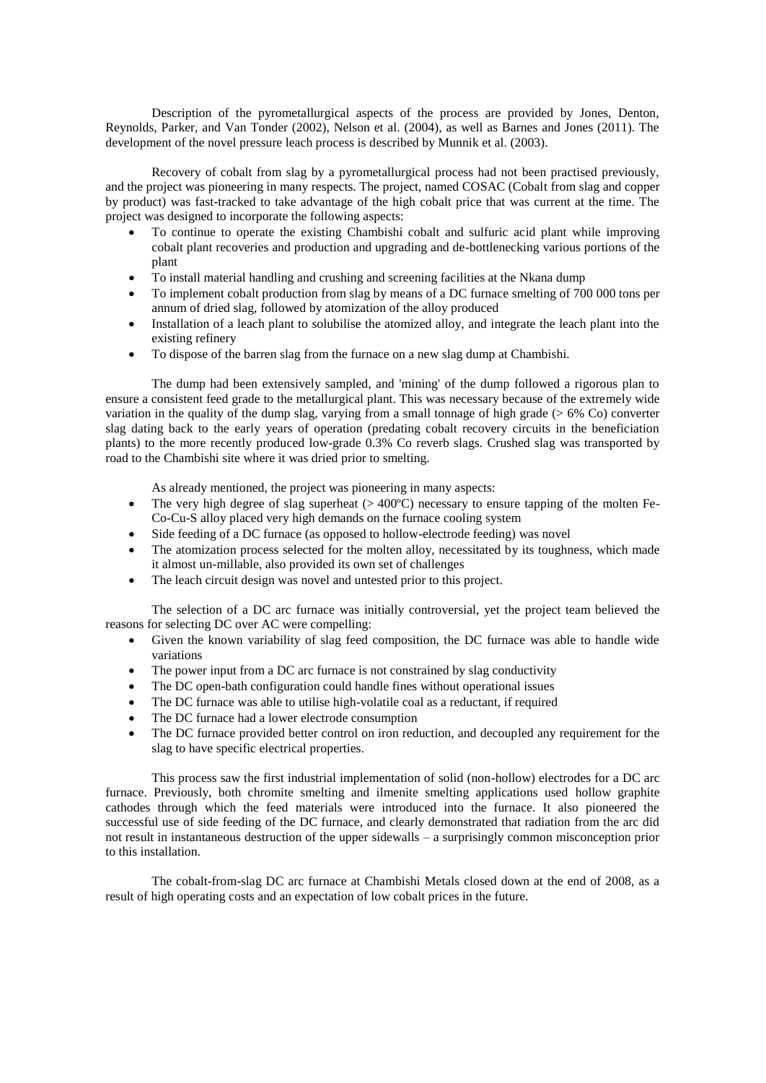Description of the pyrometallurgical aspects of the process are provided by Jones, Denton, Reynolds, Parker, and Van Tonder (2002), Nelson et al. (2004), as well as Barnes and Jones (2011). The development of the novel pressure leach process is described by Munnik et al. (2003).

Recovery of cobalt from slag by a pyrometallurgical process had not been practised previously, and the project was pioneering in many respects. The project, named COSAC (Cobalt from slag and copper by product) was fast-tracked to take advantage of the high cobalt price that was current at the time. The project was designed to incorporate the following aspects:

- To continue to operate the existing Chambishi cobalt and sulfuric acid plant while improving cobalt plant recoveries and production and upgrading and de-bottlenecking various portions of the plant
- To install material handling and crushing and screening facilities at the Nkana dump
- To implement cobalt production from slag by means of a DC furnace smelting of 700 000 tons per annum of dried slag, followed by atomization of the alloy produced
- Installation of a leach plant to solubilise the atomized alloy, and integrate the leach plant into the existing refinery
- To dispose of the barren slag from the furnace on a new slag dump at Chambishi.

The dump had been extensively sampled, and 'mining' of the dump followed a rigorous plan to ensure a consistent feed grade to the metallurgical plant. This was necessary because of the extremely wide variation in the quality of the dump slag, varying from a small tonnage of high grade (> 6% Co) converter slag dating back to the early years of operation (predating cobalt recovery circuits in the beneficiation plants) to the more recently produced low-grade 0.3% Co reverb slags. Crushed slag was transported by road to the Chambishi site where it was dried prior to smelting.

As already mentioned, the project was pioneering in many aspects:

- The very high degree of slag superheat  $(> 400^{\circ}C)$  necessary to ensure tapping of the molten Fe-Co-Cu-S alloy placed very high demands on the furnace cooling system
- Side feeding of a DC furnace (as opposed to hollow-electrode feeding) was novel
- The atomization process selected for the molten alloy, necessitated by its toughness, which made it almost un-millable, also provided its own set of challenges
- The leach circuit design was novel and untested prior to this project.

The selection of a DC arc furnace was initially controversial, yet the project team believed the reasons for selecting DC over AC were compelling:

- Given the known variability of slag feed composition, the DC furnace was able to handle wide variations
- The power input from a DC arc furnace is not constrained by slag conductivity
- The DC open-bath configuration could handle fines without operational issues
- The DC furnace was able to utilise high-volatile coal as a reductant, if required
- The DC furnace had a lower electrode consumption
- The DC furnace provided better control on iron reduction, and decoupled any requirement for the slag to have specific electrical properties.

This process saw the first industrial implementation of solid (non-hollow) electrodes for a DC arc furnace. Previously, both chromite smelting and ilmenite smelting applications used hollow graphite cathodes through which the feed materials were introduced into the furnace. It also pioneered the successful use of side feeding of the DC furnace, and clearly demonstrated that radiation from the arc did not result in instantaneous destruction of the upper sidewalls – a surprisingly common misconception prior to this installation.

The cobalt-from-slag DC arc furnace at Chambishi Metals closed down at the end of 2008, as a result of high operating costs and an expectation of low cobalt prices in the future.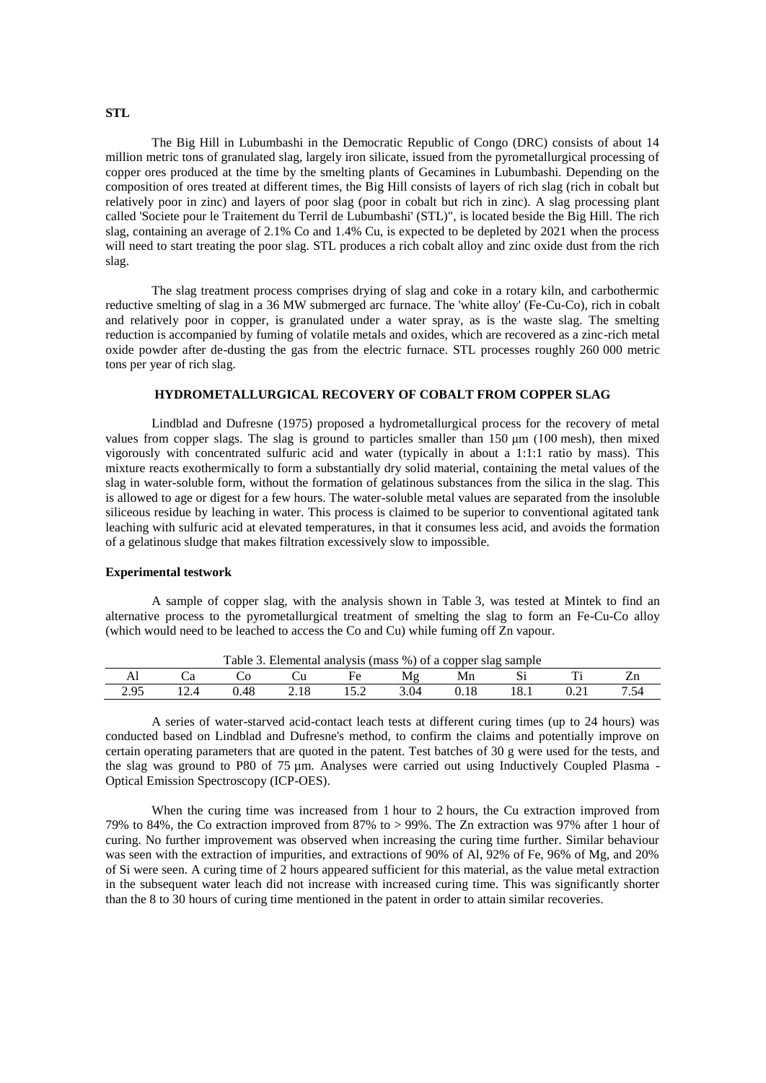### **STL**

The Big Hill in Lubumbashi in the Democratic Republic of Congo (DRC) consists of about 14 million metric tons of granulated slag, largely iron silicate, issued from the pyrometallurgical processing of copper ores produced at the time by the smelting plants of Gecamines in Lubumbashi. Depending on the composition of ores treated at different times, the Big Hill consists of layers of rich slag (rich in cobalt but relatively poor in zinc) and layers of poor slag (poor in cobalt but rich in zinc). A slag processing plant called 'Societe pour le Traitement du Terril de Lubumbashi' (STL)", is located beside the Big Hill. The rich slag, containing an average of 2.1% Co and 1.4% Cu, is expected to be depleted by 2021 when the process will need to start treating the poor slag. STL produces a rich cobalt alloy and zinc oxide dust from the rich slag.

The slag treatment process comprises drying of slag and coke in a rotary kiln, and carbothermic reductive smelting of slag in a 36 MW submerged arc furnace. The 'white alloy' (Fe-Cu-Co), rich in cobalt and relatively poor in copper, is granulated under a water spray, as is the waste slag. The smelting reduction is accompanied by fuming of volatile metals and oxides, which are recovered as a zinc-rich metal oxide powder after de-dusting the gas from the electric furnace. STL processes roughly 260 000 metric tons per year of rich slag.

# **HYDROMETALLURGICAL RECOVERY OF COBALT FROM COPPER SLAG**

Lindblad and Dufresne (1975) proposed a hydrometallurgical process for the recovery of metal values from copper slags. The slag is ground to particles smaller than 150 μm (100 mesh), then mixed vigorously with concentrated sulfuric acid and water (typically in about a 1:1:1 ratio by mass). This mixture reacts exothermically to form a substantially dry solid material, containing the metal values of the slag in water-soluble form, without the formation of gelatinous substances from the silica in the slag. This is allowed to age or digest for a few hours. The water-soluble metal values are separated from the insoluble siliceous residue by leaching in water. This process is claimed to be superior to conventional agitated tank leaching with sulfuric acid at elevated temperatures, in that it consumes less acid, and avoids the formation of a gelatinous sludge that makes filtration excessively slow to impossible.

### **Experimental testwork**

A sample of copper slag, with the analysis shown in Table 3, was tested at Mintek to find an alternative process to the pyrometallurgical treatment of smelting the slag to form an Fe-Cu-Co alloy (which would need to be leached to access the Co and Cu) while fuming off Zn vapour.

| 1 able<br>Elemental analysis (mass %) of a copper slag sample |  |  |      |  |      |        |      |                                                |  |
|---------------------------------------------------------------|--|--|------|--|------|--------|------|------------------------------------------------|--|
| гм                                                            |  |  |      |  |      | Mn     | ມ    | m                                              |  |
| າ ດ<<br>ム・フー                                                  |  |  | 4.10 |  | 3.04 | v. 1 0 | 10.1 | $\mathsf{U} \cdot \mathsf{L} \cdot \mathsf{L}$ |  |

Table 3. Elemental analysis (mass %) of a copper slag sample

A series of water-starved acid-contact leach tests at different curing times (up to 24 hours) was conducted based on Lindblad and Dufresne's method, to confirm the claims and potentially improve on certain operating parameters that are quoted in the patent. Test batches of 30 g were used for the tests, and the slag was ground to P80 of 75 µm. Analyses were carried out using Inductively Coupled Plasma - Optical Emission Spectroscopy (ICP-OES).

When the curing time was increased from 1 hour to 2 hours, the Cu extraction improved from 79% to 84%, the Co extraction improved from 87% to > 99%. The Zn extraction was 97% after 1 hour of curing. No further improvement was observed when increasing the curing time further. Similar behaviour was seen with the extraction of impurities, and extractions of 90% of Al, 92% of Fe, 96% of Mg, and 20% of Si were seen. A curing time of 2 hours appeared sufficient for this material, as the value metal extraction in the subsequent water leach did not increase with increased curing time. This was significantly shorter than the 8 to 30 hours of curing time mentioned in the patent in order to attain similar recoveries.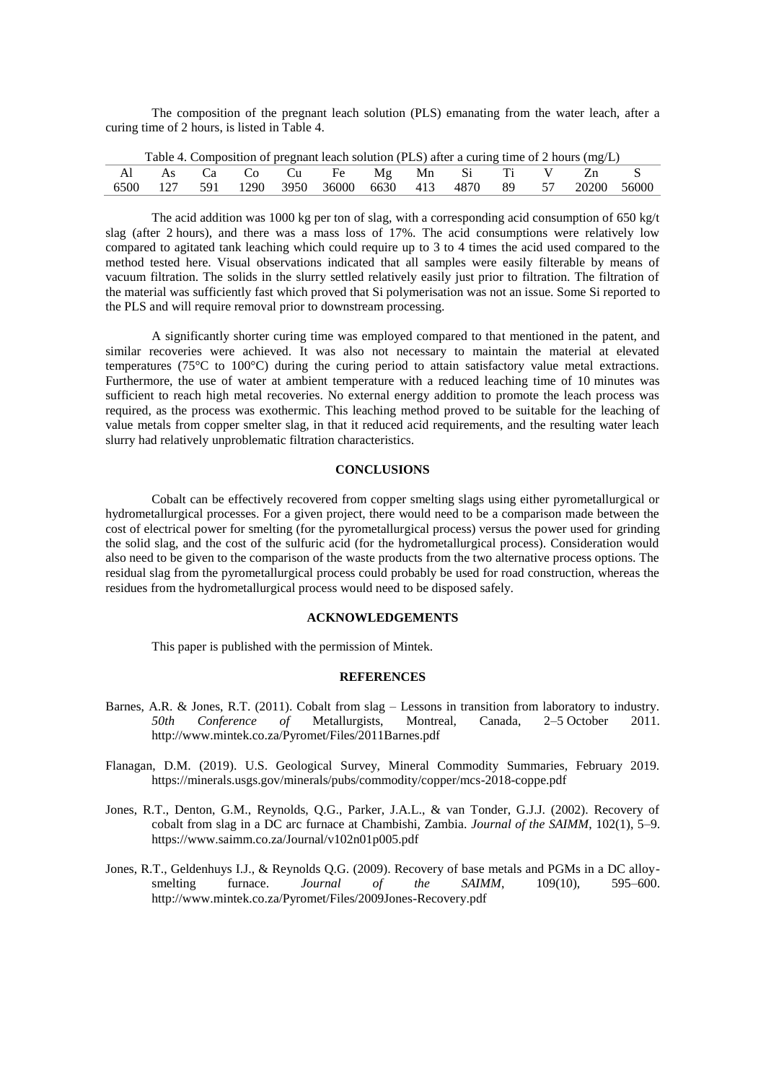The composition of the pregnant leach solution (PLS) emanating from the water leach, after a curing time of 2 hours, is listed in Table 4.

| Table 4. Composition of pregnant leach solution (PLS) after a curing time of 2 hours (mg/L) |  |  |  |  |                                    |  |  |  |  |  |                                                              |  |
|---------------------------------------------------------------------------------------------|--|--|--|--|------------------------------------|--|--|--|--|--|--------------------------------------------------------------|--|
|                                                                                             |  |  |  |  | Al As Ca Co Cu Fe Mg Mn Si Ti V Zn |  |  |  |  |  |                                                              |  |
|                                                                                             |  |  |  |  |                                    |  |  |  |  |  | 6500 127 591 1290 3950 36000 6630 413 4870 89 57 20200 56000 |  |

The acid addition was 1000 kg per ton of slag, with a corresponding acid consumption of 650 kg/t slag (after 2 hours), and there was a mass loss of 17%. The acid consumptions were relatively low compared to agitated tank leaching which could require up to 3 to 4 times the acid used compared to the method tested here. Visual observations indicated that all samples were easily filterable by means of vacuum filtration. The solids in the slurry settled relatively easily just prior to filtration. The filtration of the material was sufficiently fast which proved that Si polymerisation was not an issue. Some Si reported to the PLS and will require removal prior to downstream processing.

A significantly shorter curing time was employed compared to that mentioned in the patent, and similar recoveries were achieved. It was also not necessary to maintain the material at elevated temperatures (75°C to 100°C) during the curing period to attain satisfactory value metal extractions. Furthermore, the use of water at ambient temperature with a reduced leaching time of 10 minutes was sufficient to reach high metal recoveries. No external energy addition to promote the leach process was required, as the process was exothermic. This leaching method proved to be suitable for the leaching of value metals from copper smelter slag, in that it reduced acid requirements, and the resulting water leach slurry had relatively unproblematic filtration characteristics.

#### **CONCLUSIONS**

Cobalt can be effectively recovered from copper smelting slags using either pyrometallurgical or hydrometallurgical processes. For a given project, there would need to be a comparison made between the cost of electrical power for smelting (for the pyrometallurgical process) versus the power used for grinding the solid slag, and the cost of the sulfuric acid (for the hydrometallurgical process). Consideration would also need to be given to the comparison of the waste products from the two alternative process options. The residual slag from the pyrometallurgical process could probably be used for road construction, whereas the residues from the hydrometallurgical process would need to be disposed safely.

## **ACKNOWLEDGEMENTS**

This paper is published with the permission of Mintek.

### **REFERENCES**

- Barnes, A.R. & Jones, R.T. (2011). Cobalt from slag Lessons in transition from laboratory to industry. *50th Conference of* Metallurgists, Montreal, Canada, 2–5 October 2011. http://www.mintek.co.za/Pyromet/Files/2011Barnes.pdf
- Flanagan, D.M. (2019). U.S. Geological Survey, Mineral Commodity Summaries, February 2019. https://minerals.usgs.gov/minerals/pubs/commodity/copper/mcs-2018-coppe.pdf
- Jones, R.T., Denton, G.M., Reynolds, Q.G., Parker, J.A.L., & van Tonder, G.J.J. (2002). Recovery of cobalt from slag in a DC arc furnace at Chambishi, Zambia. *Journal of the SAIMM*, 102(1), 5–9. https://www.saimm.co.za/Journal/v102n01p005.pdf
- Jones, R.T., Geldenhuys I.J., & Reynolds Q.G. (2009). Recovery of base metals and PGMs in a DC alloysmelting furnace. *Journal of the SAIMM*, 109(10), 595–600. http://www.mintek.co.za/Pyromet/Files/2009Jones-Recovery.pdf